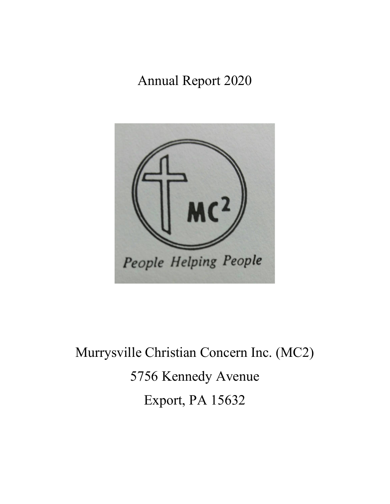Annual Report 2020



Murrysville Christian Concern Inc. (MC2) 5756 Kennedy Avenue Export, PA 15632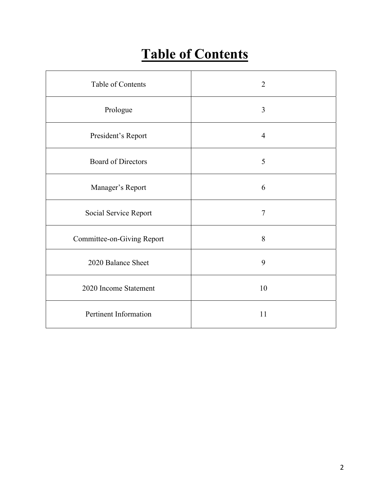## **Table of Contents**

| Table of Contents          | $\overline{2}$ |
|----------------------------|----------------|
| Prologue                   | 3              |
| President's Report         | $\overline{4}$ |
| <b>Board of Directors</b>  | 5              |
| Manager's Report           | 6              |
| Social Service Report      | $\tau$         |
| Committee-on-Giving Report | 8              |
| 2020 Balance Sheet         | 9              |
| 2020 Income Statement      | 10             |
| Pertinent Information      | 11             |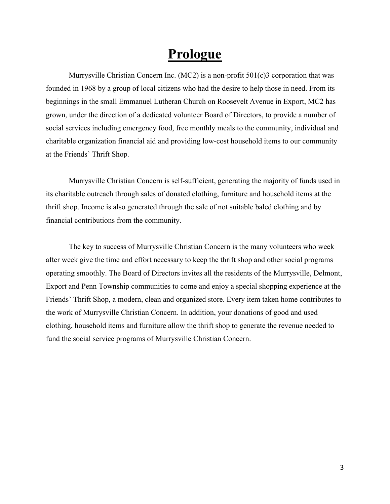### **Prologue**

Murrysville Christian Concern Inc. (MC2) is a non-profit 501(c)3 corporation that was founded in 1968 by a group of local citizens who had the desire to help those in need. From its beginnings in the small Emmanuel Lutheran Church on Roosevelt Avenue in Export, MC2 has grown, under the direction of a dedicated volunteer Board of Directors, to provide a number of social services including emergency food, free monthly meals to the community, individual and charitable organization financial aid and providing low-cost household items to our community at the Friends' Thrift Shop.

Murrysville Christian Concern is self-sufficient, generating the majority of funds used in its charitable outreach through sales of donated clothing, furniture and household items at the thrift shop. Income is also generated through the sale of not suitable baled clothing and by financial contributions from the community.

The key to success of Murrysville Christian Concern is the many volunteers who week after week give the time and effort necessary to keep the thrift shop and other social programs operating smoothly. The Board of Directors invites all the residents of the Murrysville, Delmont, Export and Penn Township communities to come and enjoy a special shopping experience at the Friends' Thrift Shop, a modern, clean and organized store. Every item taken home contributes to the work of Murrysville Christian Concern. In addition, your donations of good and used clothing, household items and furniture allow the thrift shop to generate the revenue needed to fund the social service programs of Murrysville Christian Concern.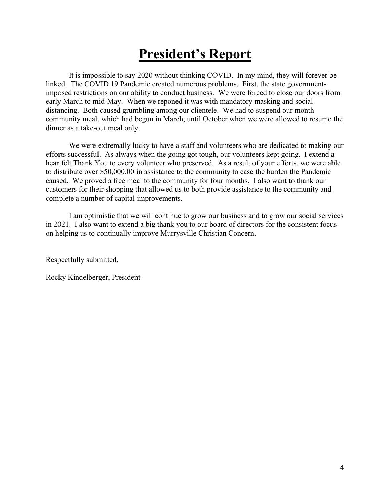### **President's Report**

It is impossible to say 2020 without thinking COVID. In my mind, they will forever be linked. The COVID 19 Pandemic created numerous problems. First, the state governmentimposed restrictions on our ability to conduct business. We were forced to close our doors from early March to mid-May. When we reponed it was with mandatory masking and social distancing. Both caused grumbling among our clientele. We had to suspend our month community meal, which had begun in March, until October when we were allowed to resume the dinner as a take-out meal only.

We were extremally lucky to have a staff and volunteers who are dedicated to making our efforts successful. As always when the going got tough, our volunteers kept going. I extend a heartfelt Thank You to every volunteer who preserved. As a result of your efforts, we were able to distribute over \$50,000.00 in assistance to the community to ease the burden the Pandemic caused. We proved a free meal to the community for four months. I also want to thank our customers for their shopping that allowed us to both provide assistance to the community and complete a number of capital improvements.

I am optimistic that we will continue to grow our business and to grow our social services in 2021. I also want to extend a big thank you to our board of directors for the consistent focus on helping us to continually improve Murrysville Christian Concern.

Respectfully submitted,

Rocky Kindelberger, President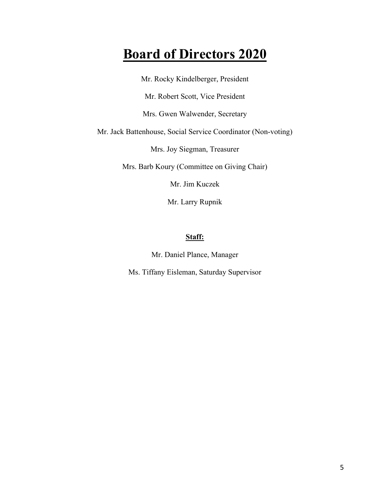### **Board of Directors 2020**

Mr. Rocky Kindelberger, President Mr. Robert Scott, Vice President Mrs. Gwen Walwender, Secretary Mr. Jack Battenhouse, Social Service Coordinator (Non-voting) Mrs. Joy Siegman, Treasurer Mrs. Barb Koury (Committee on Giving Chair) Mr. Jim Kuczek

Mr. Larry Rupnik

#### **Staff:**

Mr. Daniel Plance, Manager

Ms. Tiffany Eisleman, Saturday Supervisor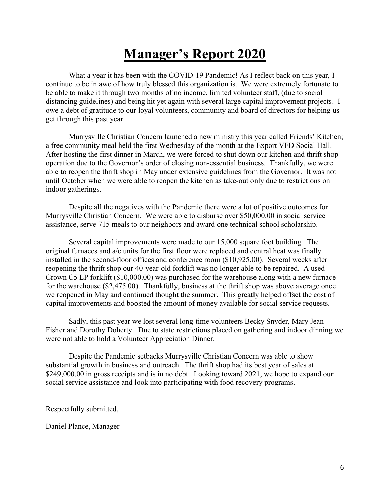### **Manager's Report 2020**

What a year it has been with the COVID-19 Pandemic! As I reflect back on this year, I continue to be in awe of how truly blessed this organization is. We were extremely fortunate to be able to make it through two months of no income, limited volunteer staff, (due to social distancing guidelines) and being hit yet again with several large capital improvement projects. I owe a debt of gratitude to our loyal volunteers, community and board of directors for helping us get through this past year.

Murrysville Christian Concern launched a new ministry this year called Friends' Kitchen; a free community meal held the first Wednesday of the month at the Export VFD Social Hall. After hosting the first dinner in March, we were forced to shut down our kitchen and thrift shop operation due to the Governor's order of closing non-essential business. Thankfully, we were able to reopen the thrift shop in May under extensive guidelines from the Governor. It was not until October when we were able to reopen the kitchen as take-out only due to restrictions on indoor gatherings.

Despite all the negatives with the Pandemic there were a lot of positive outcomes for Murrysville Christian Concern. We were able to disburse over \$50,000.00 in social service assistance, serve 715 meals to our neighbors and award one technical school scholarship.

Several capital improvements were made to our 15,000 square foot building. The original furnaces and a/c units for the first floor were replaced and central heat was finally installed in the second-floor offices and conference room (\$10,925.00). Several weeks after reopening the thrift shop our 40-year-old forklift was no longer able to be repaired. A used Crown C5 LP forklift (\$10,000.00) was purchased for the warehouse along with a new furnace for the warehouse (\$2,475.00). Thankfully, business at the thrift shop was above average once we reopened in May and continued thought the summer. This greatly helped offset the cost of capital improvements and boosted the amount of money available for social service requests.

Sadly, this past year we lost several long-time volunteers Becky Snyder, Mary Jean Fisher and Dorothy Doherty. Due to state restrictions placed on gathering and indoor dinning we were not able to hold a Volunteer Appreciation Dinner.

Despite the Pandemic setbacks Murrysville Christian Concern was able to show substantial growth in business and outreach. The thrift shop had its best year of sales at \$249,000.00 in gross receipts and is in no debt. Looking toward 2021, we hope to expand our social service assistance and look into participating with food recovery programs.

Respectfully submitted,

Daniel Plance, Manager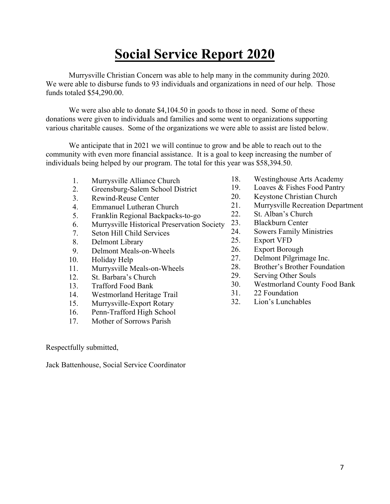## **Social Service Report 2020**

Murrysville Christian Concern was able to help many in the community during 2020. We were able to disburse funds to 93 individuals and organizations in need of our help. Those funds totaled \$54,290.00.

We were also able to donate \$4,104.50 in goods to those in need. Some of these donations were given to individuals and families and some went to organizations supporting various charitable causes. Some of the organizations we were able to assist are listed below.

We anticipate that in 2021 we will continue to grow and be able to reach out to the community with even more financial assistance. It is a goal to keep increasing the number of individuals being helped by our program. The total for this year was \$58,394.50.

- 1. Murrysville Alliance Church
- 2. Greensburg-Salem School District
- 3. Rewind-Reuse Center
- 4. Emmanuel Lutheran Church
- 5. Franklin Regional Backpacks-to-go
- 6. Murrysville Historical Preservation Society
- 7. Seton Hill Child Services
- 8. Delmont Library
- 9. Delmont Meals-on-Wheels
- 10. Holiday Help
- 11. Murrysville Meals-on-Wheels
- 12. St. Barbara's Church
- 13. Trafford Food Bank
- 14. Westmorland Heritage Trail
- 15. Murrysville-Export Rotary
- 16. Penn-Trafford High School
- 17. Mother of Sorrows Parish

Respectfully submitted,

Jack Battenhouse, Social Service Coordinator

- 18. Westinghouse Arts Academy
- 19. Loaves & Fishes Food Pantry
- 20. Keystone Christian Church
- 21. Murrysville Recreation Department
- 22. St. Alban's Church
- 23. Blackburn Center
- 24. Sowers Family Ministries
- 25. Export VFD
- 26. Export Borough
- 27. Delmont Pilgrimage Inc.
- 28. Brother's Brother Foundation
- 29. Serving Other Souls
- 30. Westmorland County Food Bank
- 31. 22 Foundation
- 32. Lion's Lunchables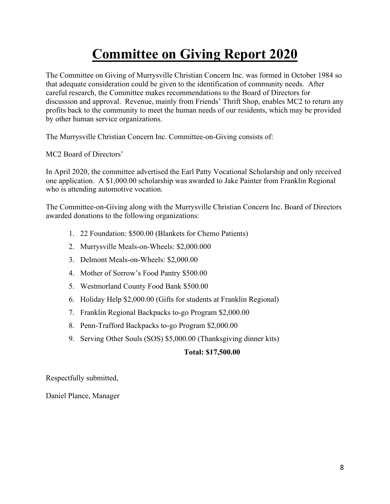## **Committee on Giving Report 2020**

The Committee on Giving of Murrysville Christian Concern Inc. was formed in October 1984 so that adequate consideration could be given to the identification of community needs. After careful research, the Committee makes recommendations to the Board of Directors for discussion and approval. Revenue, mainly from Friends' Thrift Shop, enables MC2 to return any profits back to the community to meet the human needs of our residents, which may be provided by other human service organizations.

The Murrysville Christian Concern Inc. Committee-on-Giving consists of:

MC2 Board of Directors'

In April 2020, the committee advertised the Earl Patty Vocational Scholarship and only received one application. A \$1,000.00 scholarship was awarded to Jake Painter from Franklin Regional who is attending automotive vocation.

The Committee-on-Giving along with the Murrysville Christian Concern Inc. Board of Directors awarded donations to the following organizations:

- 1. 22 Foundation: \$500.00 (Blankets for Chemo Patients)
- 2. Murrysville Meals-on-Wheels: \$2,000.000
- 3. Delmont Meals-on-Wheels: \$2,000.00
- 4. Mother of Sorrow's Food Pantry \$500.00
- 5. Westmorland County Food Bank \$500.00
- 6. Holiday Help \$2,000.00 (Gifts for students at Franklin Regional)
- 7. Franklin Regional Backpacks to-go Program \$2,000.00
- 8. Penn-Trafford Backpacks to-go Program \$2,000.00
- 9. Serving Other Souls (SOS) \$5,000.00 (Thanksgiving dinner kits)

### **Total: \$17,500.00**

Respectfully submitted,

Daniel Plance, Manager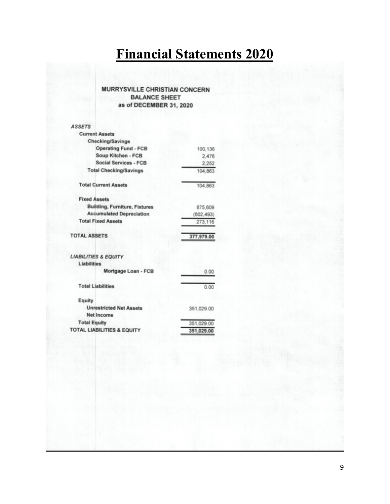# **Financial Statements 2020**

#### **MURRYSVILLE CHRISTIAN CONCERN BALANCE SHEET** as of DECEMBER 31, 2020

| <b>ASSETS</b>                                       |            |
|-----------------------------------------------------|------------|
| <b>Current Assets</b>                               |            |
| <b>Checking/Savings</b>                             |            |
| <b>Operating Fund - FCB</b>                         | 100,136    |
| Soup Kitchen - FCB                                  | 2,476      |
| Social Services - FCB                               | 2,252      |
| <b>Total Checking/Savings</b>                       | 104,863    |
| <b>Total Current Assets</b>                         | 104.863    |
| <b>Fixed Assets</b>                                 |            |
| <b>Building, Furniture, Fixtures</b>                | 875,609    |
| <b>Accumulated Depreciation</b>                     | (602, 493) |
| <b>Total Fixed Assets</b>                           | 273,116    |
| <b>TOTAL ASSETS</b>                                 | 377,979.00 |
| <b>LIABILITIES &amp; EQUITY</b>                     |            |
| Liabilities                                         |            |
| Mortgage Loan - FCB                                 | 0.00       |
| <b>Total Liabilities</b>                            | 0.00       |
| Equity                                              |            |
| <b>Unrestricted Net Assets</b><br><b>Net Income</b> | 351,029.00 |
| <b>Total Equity</b>                                 | 351,029.00 |
| <b>TOTAL LIABILITIES &amp; EQUITY</b>               | 351,029.00 |
|                                                     |            |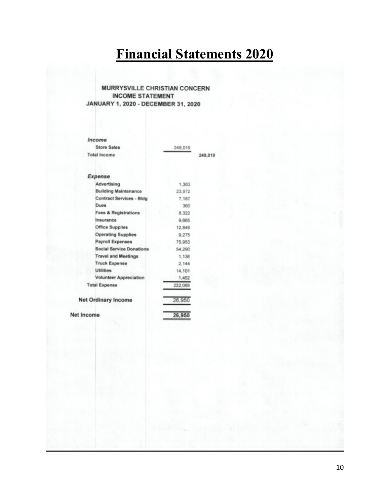# **Financial Statements 2020**

i9

#### **MURRYSVILLE CHRISTIAN CONCERN INCOME STATEMENT** JANUARY 1, 2020 - DECEMBER 31, 2020

| Income                          |         |        |
|---------------------------------|---------|--------|
| <b>Store Sales</b>              | 249,019 |        |
| <b>Total Income</b>             |         | 249.01 |
| Expense                         |         |        |
| Advertising                     | 1.363   |        |
| <b>Building Maintenance</b>     | 23,972  |        |
| Contract Services - Bldg        | 7,187   |        |
| Dues                            | 360     |        |
| <b>Fees &amp; Registrations</b> | 8.322   |        |
| Insurance                       | 9,665   |        |
| <b>Office Supplies</b>          | 12,849  |        |
| <b>Operating Supplies</b>       | 9,275   |        |
| <b>Payroll Expenses</b>         | 75,953  |        |
| <b>Social Service Donations</b> | 54,290  |        |
| <b>Travel and Meetings</b>      | 1.136   |        |
| <b>Truck Expense</b>            | 2,144   |        |
| <b>Utilities</b>                | 14,101  |        |
| <b>Volunteer Appreciation</b>   | 1,452   |        |
| <b>Total Expense</b>            | 222,069 |        |
| <b>Net Ordinary Income</b>      | 26,950  |        |
| Net Income                      | 26,95   |        |
|                                 |         |        |